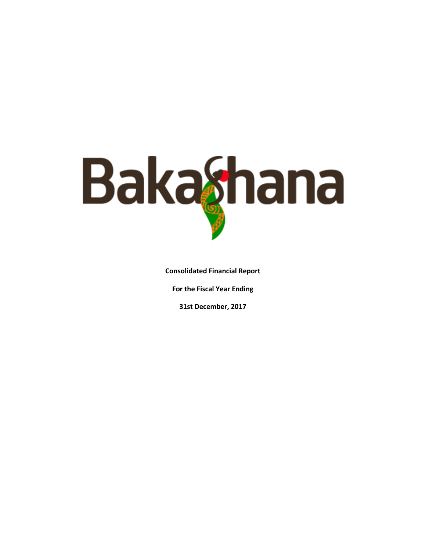

**Consolidated Financial Report** 

**For the Fiscal Year Ending** 

**31st December, 2017**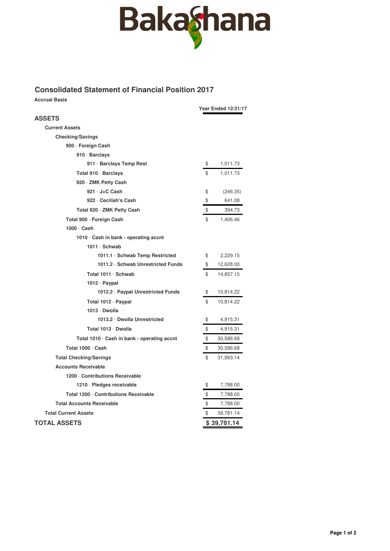

## **Consolidated Statement of Financial Position 2017**

**Accrual Basis**

|                                             | <b>Year Ended 12/31/17</b> |
|---------------------------------------------|----------------------------|
| <b>ASSETS</b>                               |                            |
| <b>Current Assets</b>                       |                            |
| <b>Checking/Savings</b>                     |                            |
| 900 · Foreign Cash                          |                            |
| 910 · Barclays                              |                            |
| 911 · Barclays Temp Rest                    | \$<br>1,011.73             |
| Total 910 · Barclays                        | \$<br>1,011.73             |
| 920 · ZMK Petty Cash                        |                            |
| 921 · J+C Cash                              | \$<br>(246.35)             |
| 922 - Ceciliah's Cash                       | \$<br>641.08               |
| Total 920 · ZMK Petty Cash                  | \$<br>394.73               |
| Total 900 · Foreign Cash                    | \$<br>1,406.46             |
| $1000 \cdot$ Cash                           |                            |
| 1010 Cash in bank - operating accnt         |                            |
| 1011 · Schwab                               |                            |
| 1011.1 · Schwab Temp Restricted             | \$<br>2,229.15             |
| 1011.2 · Schwab Unrestricted Funds          | \$<br>12,628.00            |
| Total 1011 · Schwab                         | \$<br>14,857.15            |
| 1012 · Paypal                               |                            |
| 1012.2 · Paypal Unrestricted Funds          | \$<br>10,814.22            |
| Total 1012 · Paypal                         | \$<br>10,814.22            |
| 1013 Dwolla                                 |                            |
| 1013.2 Dwolla Unrestricted                  | \$<br>4,915.31             |
| Total 1013 · Dwolla                         | \$<br>4,915.31             |
| Total 1010 · Cash in bank - operating accnt | \$<br>30,586.68            |
| Total 1000 · Cash                           | \$<br>30,586.68            |
| <b>Total Checking/Savings</b>               | \$<br>31,993.14            |
| <b>Accounts Receivable</b>                  |                            |
| 1200 Contributions Receivable               |                            |
| 1210 · Pledges receivable                   | \$<br>7,788.00             |
| Total 1200 · Contributions Receivable       | \$<br>7,788.00             |
| <b>Total Accounts Receivable</b>            | \$<br>7,788.00             |
| <b>Total Current Assets</b>                 | \$<br>39,781.14            |
| <b>TOTAL ASSETS</b>                         | \$39,781.14                |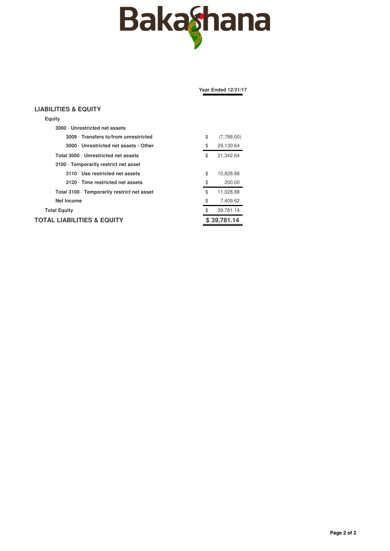

|                                             | <b>Year Ended 12/31/17</b> |
|---------------------------------------------|----------------------------|
| <b>LIABILITIES &amp; EQUITY</b>             |                            |
| Equity                                      |                            |
| 3000 Unrestricted net assets                |                            |
| 3009 Transfers to/from unrestricted         | \$<br>(7,788.00)           |
| 3000 · Unrestricted net assets - Other      | \$<br>29,130.64            |
| Total 3000 · Unrestricted net assets        | \$<br>21,342.64            |
| 3100 · Temporarily restrict net asset       |                            |
| 3110 · Use restricted net assets            | \$<br>10,828.88            |
| 3120 · Time restricted net assets           | \$<br>200.00               |
| Total 3100 · Temporarily restrict net asset | \$<br>11,028.88            |
| <b>Net Income</b>                           | \$<br>7,409.62             |
| <b>Total Equity</b>                         | \$<br>39,781.14            |
| TOTAL LIABILITIES & EQUITY                  | \$39,781.14                |
|                                             |                            |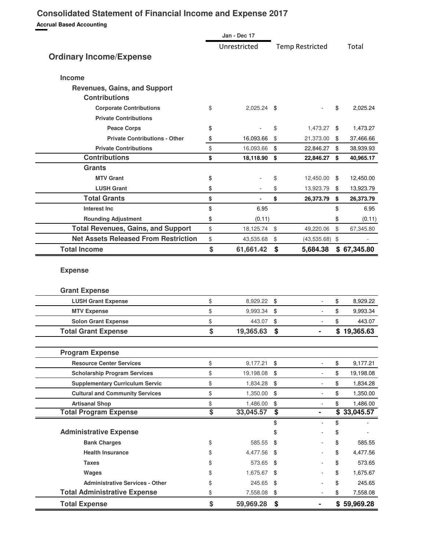## **Consolidated Statement of Financial Income and Expense 2017**

**Accrual Based Accounting**

|                                                             | Jan - Dec 17             |                                  |                        |              |                                                                     |
|-------------------------------------------------------------|--------------------------|----------------------------------|------------------------|--------------|---------------------------------------------------------------------|
|                                                             | Unrestricted             |                                  | <b>Temp Restricted</b> |              | Total                                                               |
| <b>Ordinary Income/Expense</b>                              |                          |                                  |                        |              |                                                                     |
| Income                                                      |                          |                                  |                        |              |                                                                     |
| <b>Revenues, Gains, and Support</b><br><b>Contributions</b> |                          |                                  |                        |              |                                                                     |
| <b>Corporate Contributions</b>                              | \$<br>$2,025.24$ \$      |                                  |                        | \$           | 2,025.24                                                            |
| <b>Private Contributions</b>                                |                          |                                  |                        |              |                                                                     |
| <b>Peace Corps</b>                                          | \$                       | \$                               | 1,473.27 \$            |              | 1,473.27                                                            |
| <b>Private Contributions - Other</b>                        | \$<br>16,093.66          | \$                               | 21,373.00              | \$           | 37,466.66                                                           |
| <b>Private Contributions</b>                                | \$<br>16,093.66          | \$                               | 22,846.27              | \$           | 38,939.93                                                           |
| <b>Contributions</b>                                        | \$<br>18,118.90          | \$                               | 22,846.27              | \$           | 40,965.17                                                           |
| <b>Grants</b>                                               |                          |                                  |                        |              |                                                                     |
| <b>MTV Grant</b>                                            | \$                       | \$                               | 12,450.00              | \$           | 12,450.00                                                           |
| <b>LUSH Grant</b>                                           | \$                       | \$                               | 13,923.79              | \$           | 13,923.79                                                           |
| <b>Total Grants</b>                                         | \$                       | \$                               | 26,373.79              | \$           | 26,373.79                                                           |
| <b>Interest Inc</b>                                         | \$<br>6.95               |                                  |                        | \$           | 6.95                                                                |
| <b>Rounding Adjustment</b>                                  | \$<br>(0.11)             |                                  |                        | \$           | (0.11)                                                              |
| <b>Total Revenues, Gains, and Support</b>                   | \$<br>18,125.74          | \$                               | 49,220.06              | $\mathbb{S}$ | 67,345.80                                                           |
| <b>Net Assets Released From Restriction</b>                 | \$<br>43,535.68          | \$                               | $(43,535.68)$ \$       |              |                                                                     |
| <b>Total Income</b>                                         | \$<br>61,661.42          | \$                               | 5,684.38               |              | \$67,345.80                                                         |
| <b>Grant Expense</b><br><b>LUSH Grant Expense</b>           | \$<br>8,929.22           | \$                               |                        | \$           | 8,929.22                                                            |
| <b>MTV Expense</b>                                          | \$<br>9,993.34           | \$                               | $\blacksquare$         | \$           | 9,993.34                                                            |
| <b>Solon Grant Expense</b>                                  | \$<br>443.07             | \$                               | ÷                      |              |                                                                     |
| <b>Total Grant Expense</b>                                  | \$                       |                                  |                        |              |                                                                     |
|                                                             |                          |                                  |                        | \$           |                                                                     |
| <b>Program Expense</b>                                      | 19,365.63                | \$                               | ۰                      |              | \$19,365.63                                                         |
| <b>Resource Center Services</b>                             |                          |                                  |                        |              |                                                                     |
| <b>Scholarship Program Services</b>                         | \$<br>9,177.21           | \$                               | ÷.                     | \$           | 9,177.21                                                            |
|                                                             | \$<br>19,198.08          | \$                               | $\blacksquare$         | \$           |                                                                     |
| <b>Supplementary Curriculum Servic</b>                      | \$<br>1,834.28           | \$                               | ÷,                     | \$           |                                                                     |
| <b>Cultural and Community Services</b>                      | \$<br>1,350.00           | \$                               | $\frac{1}{2}$          | \$           |                                                                     |
| <b>Artisanal Shop</b>                                       | \$<br>1,486.00           | \$                               |                        | \$           |                                                                     |
| <b>Total Program Expense</b>                                | \$<br>33,045.57          | $\overline{\boldsymbol{\theta}}$ |                        | \$           | 33,045.57                                                           |
| <b>Administrative Expense</b>                               |                          | \$<br>\$                         | ÷,                     | \$<br>\$     |                                                                     |
|                                                             | \$<br>585.55             | \$                               |                        |              | 585.55                                                              |
| <b>Bank Charges</b><br><b>Health Insurance</b>              | \$                       | \$                               |                        | \$<br>\$     | 4,477.56                                                            |
| <b>Taxes</b>                                                | \$<br>4,477.56<br>573.65 | - \$                             |                        | \$           | 573.65                                                              |
|                                                             | \$<br>1,675.67 \$        |                                  |                        | \$           | 1,675.67                                                            |
| Wages<br><b>Administrative Services - Other</b>             | \$<br>245.65             | -\$                              |                        | \$           | 245.65                                                              |
| <b>Total Administrative Expense</b>                         | \$<br>7,558.08           | \$                               |                        | \$           | 443.07<br>19,198.08<br>1,834.28<br>1,350.00<br>1,486.00<br>7,558.08 |